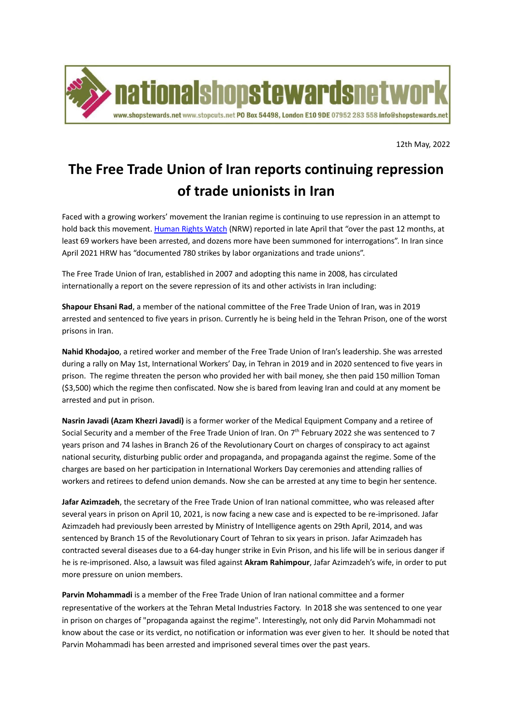

12th May, 2022

## **The Free Trade Union of Iran reports continuing repression of trade unionists in Iran**

Faced with a growing workers' movement the Iranian regime is continuing to use repression in an attempt to hold back this movement. [Human](https://www.hrw.org/news/2022/04/29/iran-labor-protests-surge) Rights Watch (NRW) reported in late April that "over the past 12 months, at least 69 workers have been arrested, and dozens more have been summoned for interrogations". In Iran since April 2021 HRW has "documented 780 strikes by labor organizations and trade unions".

The Free Trade Union of Iran, established in 2007 and adopting this name in 2008, has circulated internationally a report on the severe repression of its and other activists in Iran including:

**Shapour Ehsani Rad**, a member of the national committee of the Free Trade Union of Iran, was in 2019 arrested and sentenced to five years in prison. Currently he is being held in the Tehran Prison, one of the worst prisons in Iran.

**Nahid Khodajoo**, a retired worker and member of the Free Trade Union of Iran's leadership. She was arrested during a rally on May 1st, International Workers' Day, in Tehran in 2019 and in 2020 sentenced to five years in prison. The regime threaten the person who provided her with bail money, she then paid 150 million Toman (\$3,500) which the regime then confiscated. Now she is bared from leaving Iran and could at any moment be arrested and put in prison.

**Nasrin Javadi (Azam Khezri Javadi)** is a former worker of the Medical Equipment Company and a retiree of Social Security and a member of the Free Trade Union of Iran. On 7<sup>th</sup> February 2022 she was sentenced to 7 years prison and 74 lashes in Branch 26 of the Revolutionary Court on charges of conspiracy to act against national security, disturbing public order and propaganda, and propaganda against the regime. Some of the charges are based on her participation in International Workers Day ceremonies and attending rallies of workers and retirees to defend union demands. Now she can be arrested at any time to begin her sentence.

**Jafar Azimzadeh**, the secretary of the Free Trade Union of Iran national committee, who was released after several years in prison on April 10, 2021, is now facing a new case and is expected to be re-imprisoned. Jafar Azimzadeh had previously been arrested by Ministry of Intelligence agents on 29th April, 2014, and was sentenced by Branch 15 of the Revolutionary Court of Tehran to six years in prison. Jafar Azimzadeh has contracted several diseases due to a 64-day hunger strike in Evin Prison, and his life will be in serious danger if he is re-imprisoned. Also, a lawsuit was filed against **Akram Rahimpour**, Jafar Azimzadeh's wife, in order to put more pressure on union members.

**Parvin Mohammadi** is a member of the Free Trade Union of Iran national committee and a former representative of the workers at the Tehran Metal Industries Factory. In 2018 she was sentenced to one year in prison on charges of "propaganda against the regime". Interestingly, not only did Parvin Mohammadi not know about the case or its verdict, no notification or information was ever given to her. It should be noted that Parvin Mohammadi has been arrested and imprisoned several times over the past years.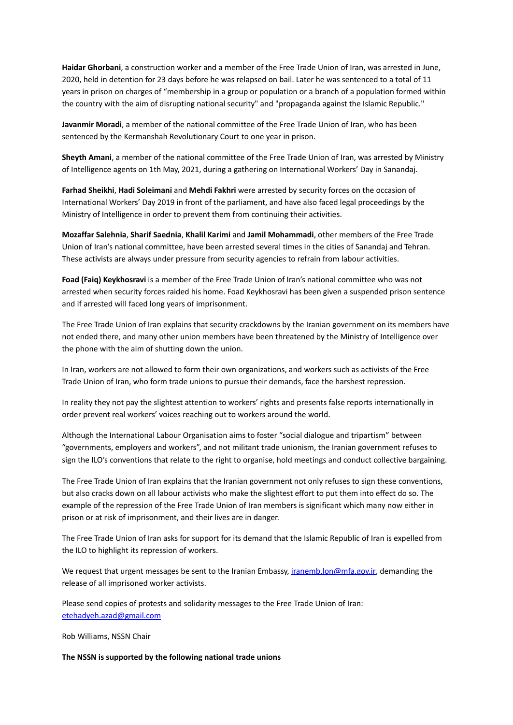**Haidar Ghorbani**, a construction worker and a member of the Free Trade Union of Iran, was arrested in June, 2020, held in detention for 23 days before he was relapsed on bail. Later he was sentenced to a total of 11 years in prison on charges of "membership in a group or population or a branch of a population formed within the country with the aim of disrupting national security" and "propaganda against the Islamic Republic."

**Javanmir Moradi**, a member of the national committee of the Free Trade Union of Iran, who has been sentenced by the Kermanshah Revolutionary Court to one year in prison.

**Sheyth Amani**, a member of the national committee of the Free Trade Union of Iran, was arrested by Ministry of Intelligence agents on 1th May, 2021, during a gathering on International Workers' Day in Sanandaj.

**Farhad Sheikhi**, **Hadi Soleimani** and **Mehdi Fakhri** were arrested by security forces on the occasion of International Workers' Day 2019 in front of the parliament, and have also faced legal proceedings by the Ministry of Intelligence in order to prevent them from continuing their activities.

**Mozaffar Salehnia**, **Sharif Saednia**, **Khalil Karimi** and **Jamil Mohammadi**, other members of the Free Trade Union of Iran's national committee, have been arrested several times in the cities of Sanandaj and Tehran. These activists are always under pressure from security agencies to refrain from labour activities.

**Foad (Faiq) Keykhosravi** is a member of the Free Trade Union of Iran's national committee who was not arrested when security forces raided his home. Foad Keykhosravi has been given a suspended prison sentence and if arrested will faced long years of imprisonment.

The Free Trade Union of Iran explains that security crackdowns by the Iranian government on its members have not ended there, and many other union members have been threatened by the Ministry of Intelligence over the phone with the aim of shutting down the union.

In Iran, workers are not allowed to form their own organizations, and workers such as activists of the Free Trade Union of Iran, who form trade unions to pursue their demands, face the harshest repression.

In reality they not pay the slightest attention to workers' rights and presents false reports internationally in order prevent real workers' voices reaching out to workers around the world.

Although the International Labour Organisation aims to foster "social dialogue and tripartism" between "governments, employers and workers", and not militant trade unionism, the Iranian government refuses to sign the ILO's conventions that relate to the right to organise, hold meetings and conduct collective bargaining.

The Free Trade Union of Iran explains that the Iranian government not only refuses to sign these conventions, but also cracks down on all labour activists who make the slightest effort to put them into effect do so. The example of the repression of the Free Trade Union of Iran members is significant which many now either in prison or at risk of imprisonment, and their lives are in danger.

The Free Trade Union of Iran asks for support for its demand that the Islamic Republic of Iran is expelled from the ILO to highlight its repression of workers.

We request that urgent messages be sent to the Iranian Embassy, *iranemb.lon@mfa.gov.ir*, demanding the release of all imprisoned worker activists.

Please send copies of protests and solidarity messages to the Free Trade Union of Iran: [etehadyeh.azad@gmail.com](mailto:etehadyeh.azad@gmail.com)

Rob Williams, NSSN Chair

## **The NSSN is supported by the following national trade unions**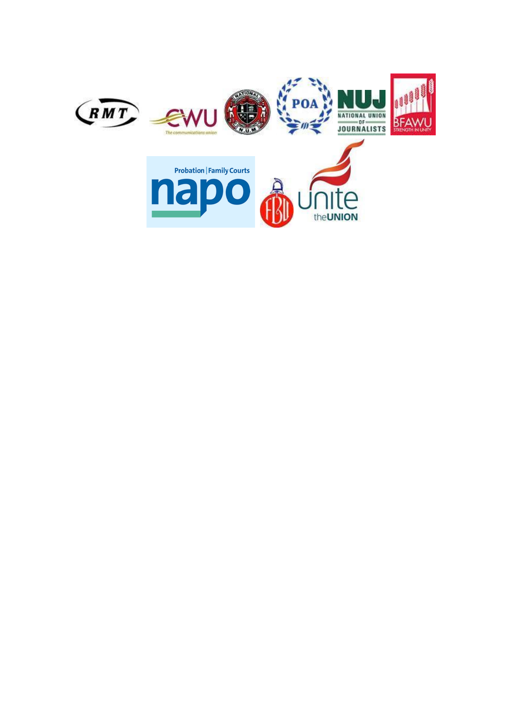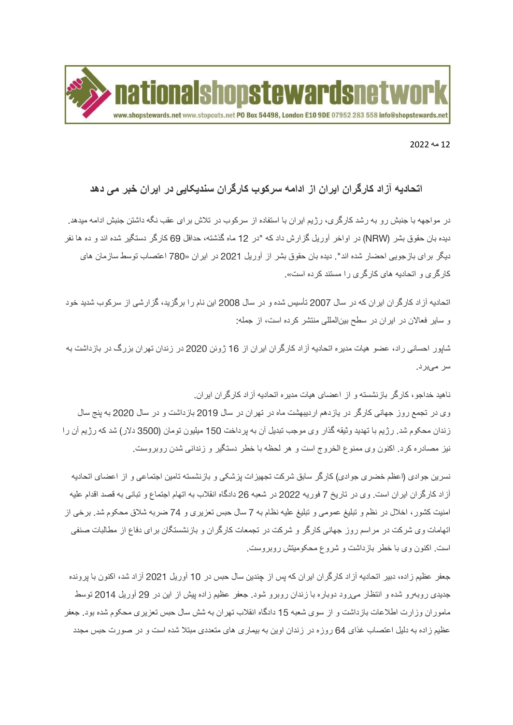

## 12 مه 2022

## **اتحادیه آزاد کارگران ایران از ادامه سرکوب کارگران سندیکایی در ایران خبر می دهد**

در مواجهه با جنبش رو به رشد کارگری، رژیم ایران با استفاده از سرکوب در تالش برای عقب نگه داشتن جنبش ادامه میدهد. دیده بان حقوق بشر )NRW )در اواخر آوریل گزارش داد که "در 12 ماه گذشته، حداقل 69 کارگر دستگیر شده اند و ده ها نفر دیگر برای بازجویی احضار شده اند". دیده بان حقوق بشر از آوریل 2021 در ایران »780 اعتصاب توسط سازمان های کار گری و اتحادیه های کار گری را مستند کر ده است».

اتحادیه آزاد کارگران ایران که در سال 2007 تأسیس شده و در سال 2008 این نام را برگزید، گزارشی از سرکوب شدید خود و سایر فعاالن در ایران در سطح بینالمللی منتشر کرده است، از جمله:

شاپور احسانی راد، عضو هیات مدیره اتحادیه آزاد کارگران ایران از 16 ژوئن 2020 در زندان تهران بزرگ در بازداشت به سر میبرد.

ناهید خداجو، کارگر بازنشسته و از اعضای هیات مدیره اتحادیه آزاد کارگران ایران. وی در تجمع روز جهانی کارگر در یازدهم اردیبهشت ماه در تهران در سال 2019 بازداشت و در سال 2020 به پنج سال زندان محکوم شد. رژیم با تهدید وثیقه گذار وی موجب تبدیل آن به پرداخت 150 میلیون تومان )3500 دالر( شد که رژیم آن را نیز مصادره کرد. اکنون وی ممنوع الخروج است و هر لحظه با خطر دستگیر و زندانی شدن روبروست.

نسرین جوادی (اعظم خضری جوادی) کارگر سابق شرکت تجهیزات پزشکی و بازنشسته تامین اجتماعی و از اعضای اتحادیه آزاد کارگران ایران است. وی در تاریخ 7 فوریه 2022 در شعبه 26 دادگاه انقالب به اتهام اجتماع و تبانی به قصد اقدام علیه امنیت کشور، اخالل در نظم و تبلیغ عمومی و تبلیغ علیه نظام به 7 سال حبس تعزیری و 74 ضربه شالق محکوم شد. برخی از اتهامات وی شرکت در مراسم روز جهانی کارگر و شرکت در تجمعات کارگران و بازنشستگان برای دفاع از مطالبات صنفی است. اکنون وی با خطر بازداشت و شروع محکومیتش روبروست.

جعفر عظیم زاده، دبیر اتحادیه آزاد کارگران ایران که پس از چندین سال حبس در 10 آوریل 2021 آزاد شد، اکنون با پرونده جدیدی روبهرو شده و انتظار میرود دوباره با زندان روبرو شود. جعفر عظیم زاده پیش از این در 29 آوریل 2014 توسط ماموران وزارت اطالعات بازداشت و از سوی شعبه 15 دادگاه انقالب تهران به شش سال حبس تعزیری محکوم شده بود. جعفر عظیم زاده به دلیل اعتصاب غذای 64 روزه در زندان اوین به بیماری های متعددی مبتال شده است و در صورت حبس مجدد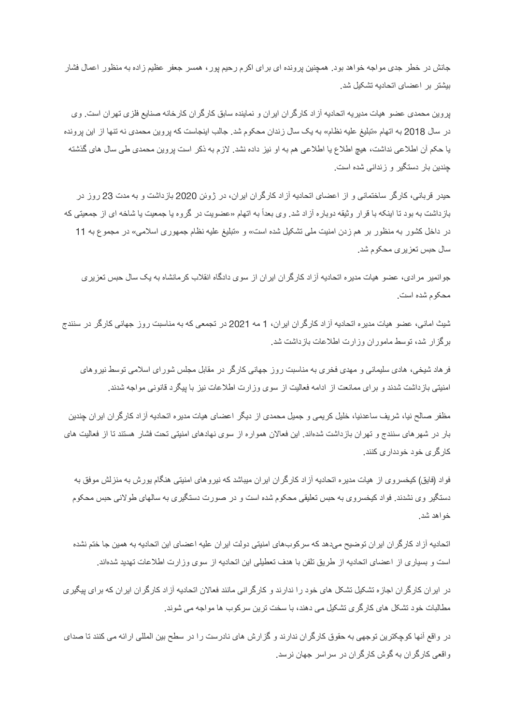جانش در خطر جدی مواجه خواهد بود. همچنین پرونده ای برای اکرم رحیم پور، همسر جعفر عظیم زاده به منظور اعمال فشار بیشتر بر اعضای اتحادیه تشکیل شد.

پروین محمدی عضو هیات مدیریه اتحادیه آزاد کارگران ایران و نماینده سابق کارگران کارخانه صنایع فلزی تهران است. وی در سال 2018 به اتهام »تبلیغ علیه نظام« به یک سال زندان محکوم شد. جالب اینجاست که پروین محمدی نه تنها از این پرونده یا حکم آن اطالعی نداشت، هیچ اطالع یا اطالعی هم به او نیز داده نشد. الزم به ذکر است پروین محمدی طی سال های گذشته چندین بار دستگیر و زندانی شده است.

حیدر قربانی، کارگر ساختمانی و از اعضای اتحادیه آزاد کارگران ایران، در ژوئن 2020 بازداشت و به مدت 23 روز در بازداشت به بود تا اینکه با قرار وثیقه دوباره آزاد شد. وی بعداً به اتهام «عضویت در گروه یا جمعیت یا شاخه ای از جمعیتی که در داخل کشور به منظور بر هم زدن امنیت ملی تشکیل شده است« و »تبلیغ علیه نظام جمهوری اسالمی« در مجموع به 11 سال حبس تعزیری محکوم شد.

جوانمیر مرادی، عضو هیات مدیره اتحادیه آزاد کارگران ایران از سوی دادگاه انقالب کرمانشاه به یک سال حبس تعزیری محکوم شده است.

شیث امانی، عضو هیات مدیره اتحادیه آزاد کارگران ایران، 1 مه 2021 در تجمعی که به مناسبت روز جهانی کارگر در سنندج برگزار شد، توسط ماموران وزارت اطالعات بازداشت شد.

فرهاد شیخی، هادی سلیمانی و مهدی فخری به مناسبت روز جهانی کارگر در مقابل مجلس شورای اسالمی توسط نیروهای امنیتی بازداشت شدند و برای ممانعت از ادامه فعالیت از سوی وزارت اطالعات نیز با پیگرد قانونی مواجه شدند.

مظفر صالح نیا، شریف ساعدنیا، خلیل کریمی و جمیل محمدی از دیگر اعضای هیات مدیره اتحادیه آزاد کارگران ایران چندین بار در شهرهای سنندج و تهران بازداشت شدهاند. این فعاالن همواره از سوی نهادهای امنیتی تحت فشار هستند تا از فعالیت های کارگری خود خودداری کنند.

فواد (فایق) کیخسر وی از هیات مدیر ه اتحادیه آز اد کار گر ان ایر ان میباشد که نیر و های امنیتی هنگام یور ش به منز لش موفق به دستگیر وی نشدند. فواد کیخسروی به حبس تعلیقی محکوم شده است و در صورت دستگیری به سالهای طوالنی حبس محکوم خواهد شد.

اتحادیه آزاد کارگران ایران توضیح میدهد که سرکوبهای امنیتی دولت ایران علیه اعضای این اتحادیه به همین جا ختم نشده است و بسیاری از اعضای اتحادیه از طریق تلفن با هدف تعطیلی این اتحادیه از سوی وزارت اطالعات تهدید شدهاند.

در ایران کارگران اجازه تشکیل تشکل های خود را ندارند و کارگرانی مانند فعاالن اتحادیه آزاد کارگران ایران که برای پیگیری مطالبات خود تشکل های کارگری تشکیل می دهند، با سخت ترین سرکوب ها مواجه می شوند.

در واقع آنها کوچکترین توجهی به حقوق کارگران ندارند و گزارش های نادرست را در سطح بین المللی ارائه می کنند تا صدای واقعی کارگران به گوش کارگران در سراسر جهان نرسد.